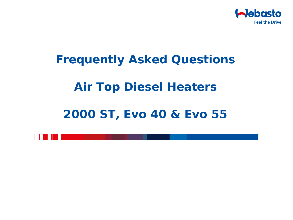

# **Frequently Asked Questions Air Top Diesel Heaters**

# **2000 ST, Evo 40 & Evo 55**

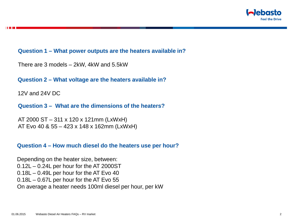

# **Question 1 – What power outputs are the heaters available in?**

There are 3 models – 2kW, 4kW and 5.5kW

**Question 2 – What voltage are the heaters available in?**

12V and 24V DC

**Question 3 – What are the dimensions of the heaters?**

AT 2000 ST – 311 x 120 x 121mm (LxWxH) AT Evo 40 & 55 – 423 x 148 x 162mm (LxWxH)

#### **Question 4 – How much diesel do the heaters use per hour?**

Depending on the heater size, between: 0.12L – 0.24L per hour for the AT 2000ST 0.18L – 0.49L per hour for the AT Evo 40 0.18L – 0.67L per hour for the AT Evo 55 On average a heater needs 100ml diesel per hour, per kW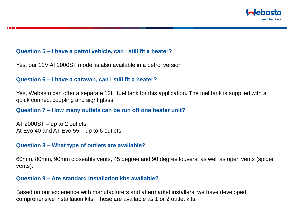

# **Question 5 – I have a petrol vehicle, can I still fit a heater?**

Yes, our 12V AT2000ST model is also available in a petrol version

## **Question 6 – I have a caravan, can I still fit a heater?**

Yes, Webasto can offer a separate 12L fuel tank for this application. The fuel tank is supplied with a quick connect coupling and sight glass.

# **Question 7 – How many outlets can be run off one heater unit?**

AT 2000ST – up to 2 outlets At Evo 40 and AT Evo 55 – up to 6 outlets

# **Question 8 – What type of outlets are available?**

60mm, 80mm, 90mm closeable vents, 45 degree and 90 degree louvers, as well as open vents (spider vents).

## **Question 9 – Are standard installation kits available?**

Based on our experience with manufacturers and aftermarket installers, we have developed comprehensive installation kits. These are available as 1 or 2 outlet kits.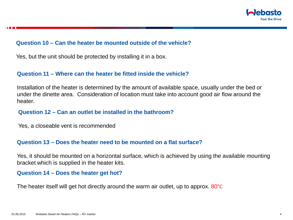

#### **Question 10 – Can the heater be mounted outside of the vehicle?**

Yes, but the unit should be protected by installing it in a box.

# **Question 11 – Where can the heater be fitted inside the vehicle?**

Installation of the heater is determined by the amount of available space, usually under the bed or under the dinette area. Consideration of location must take into account good air flow around the heater.

# **Question 12 – Can an outlet be installed in the bathroom?**

Yes, a closeable vent is recommended

# **Question 13 – Does the heater need to be mounted on a flat surface?**

Yes, it should be mounted on a horizontal surface, which is achieved by using the available mounting bracket which is supplied in the heater kits.

# **Question 14 – Does the heater get hot?**

The heater itself will get hot directly around the warm air outlet, up to approx. 80<sup>o</sup>C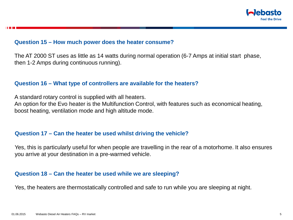

#### **Question 15 – How much power does the heater consume?**

The AT 2000 ST uses as little as 14 watts during normal operation (6-7 Amps at initial start phase, then 1-2 Amps during continuous running).

#### **Question 16 – What type of controllers are available for the heaters?**

A standard rotary control is supplied with all heaters.

An option for the Evo heater is the Multifunction Control, with features such as economical heating, boost heating, ventilation mode and high altitude mode.

#### **Question 17 – Can the heater be used whilst driving the vehicle?**

Yes, this is particularly useful for when people are travelling in the rear of a motorhome. It also ensures you arrive at your destination in a pre-warmed vehicle.

#### **Question 18 – Can the heater be used while we are sleeping?**

Yes, the heaters are thermostatically controlled and safe to run while you are sleeping at night.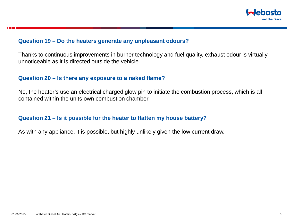

#### **Question 19 – Do the heaters generate any unpleasant odours?**

Thanks to continuous improvements in burner technology and fuel quality, exhaust odour is virtually unnoticeable as it is directed outside the vehicle.

#### **Question 20 – Is there any exposure to a naked flame?**

No, the heater's use an electrical charged glow pin to initiate the combustion process, which is all contained within the units own combustion chamber.

# **Question 21 – Is it possible for the heater to flatten my house battery?**

As with any appliance, it is possible, but highly unlikely given the low current draw.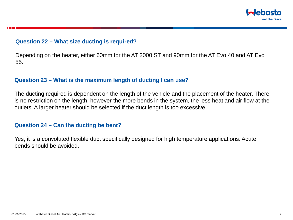

# **Question 22 – What size ducting is required?**

Depending on the heater, either 60mm for the AT 2000 ST and 90mm for the AT Evo 40 and AT Evo 55.

# **Question 23 – What is the maximum length of ducting I can use?**

The ducting required is dependent on the length of the vehicle and the placement of the heater. There is no restriction on the length, however the more bends in the system, the less heat and air flow at the outlets. A larger heater should be selected if the duct length is too excessive.

# **Question 24 – Can the ducting be bent?**

Yes, it is a convoluted flexible duct specifically designed for high temperature applications. Acute bends should be avoided.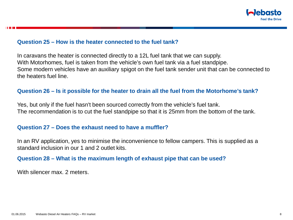

#### **Question 25 – How is the heater connected to the fuel tank?**

In caravans the heater is connected directly to a 12L fuel tank that we can supply. With Motorhomes, fuel is taken from the vehicle's own fuel tank via a fuel standpipe. Some modern vehicles have an auxiliary spigot on the fuel tank sender unit that can be connected to the heaters fuel line.

# **Question 26 – Is it possible for the heater to drain all the fuel from the Motorhome's tank?**

Yes, but only if the fuel hasn't been sourced correctly from the vehicle's fuel tank. The recommendation is to cut the fuel standpipe so that it is 25mm from the bottom of the tank.

#### **Question 27 – Does the exhaust need to have a muffler?**

In an RV application, yes to minimise the inconvenience to fellow campers. This is supplied as a standard inclusion in our 1 and 2 outlet kits.

# **Question 28 – What is the maximum length of exhaust pipe that can be used?**

With silencer max. 2 meters.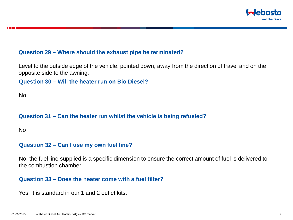

# **Question 29 – Where should the exhaust pipe be terminated?**

Level to the outside edge of the vehicle, pointed down, away from the direction of travel and on the opposite side to the awning.

**Question 30 – Will the heater run on Bio Diesel?**

No

# **Question 31 – Can the heater run whilst the vehicle is being refueled?**

No

#### **Question 32 – Can I use my own fuel line?**

No, the fuel line supplied is a specific dimension to ensure the correct amount of fuel is delivered to the combustion chamber.

#### **Question 33 – Does the heater come with a fuel filter?**

Yes, it is standard in our 1 and 2 outlet kits.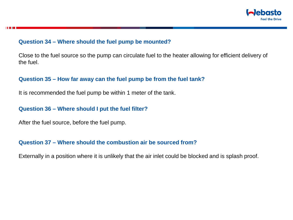

#### **Question 34 – Where should the fuel pump be mounted?**

Close to the fuel source so the pump can circulate fuel to the heater allowing for efficient delivery of the fuel.

# **Question 35 – How far away can the fuel pump be from the fuel tank?**

It is recommended the fuel pump be within 1 meter of the tank.

# **Question 36 – Where should I put the fuel filter?**

After the fuel source, before the fuel pump.

# **Question 37 – Where should the combustion air be sourced from?**

Externally in a position where it is unlikely that the air inlet could be blocked and is splash proof.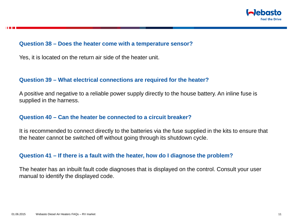

#### **Question 38 – Does the heater come with a temperature sensor?**

Yes, it is located on the return air side of the heater unit.

#### **Question 39 – What electrical connections are required for the heater?**

A positive and negative to a reliable power supply directly to the house battery. An inline fuse is supplied in the harness.

# **Question 40 – Can the heater be connected to a circuit breaker?**

It is recommended to connect directly to the batteries via the fuse supplied in the kits to ensure that the heater cannot be switched off without going through its shutdown cycle.

#### **Question 41 – If there is a fault with the heater, how do I diagnose the problem?**

The heater has an inbuilt fault code diagnoses that is displayed on the control. Consult your user manual to identify the displayed code.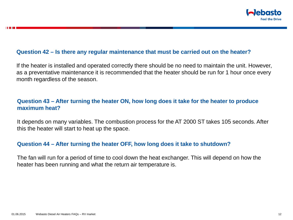

#### **Question 42 – Is there any regular maintenance that must be carried out on the heater?**

If the heater is installed and operated correctly there should be no need to maintain the unit. However, as a preventative maintenance it is recommended that the heater should be run for 1 hour once every month regardless of the season.

# **Question 43 – After turning the heater ON, how long does it take for the heater to produce maximum heat?**

It depends on many variables. The combustion process for the AT 2000 ST takes 105 seconds. After this the heater will start to heat up the space.

# **Question 44 – After turning the heater OFF, how long does it take to shutdown?**

The fan will run for a period of time to cool down the heat exchanger. This will depend on how the heater has been running and what the return air temperature is.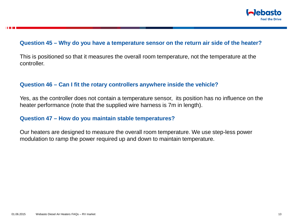

#### **Question 45 – Why do you have a temperature sensor on the return air side of the heater?**

This is positioned so that it measures the overall room temperature, not the temperature at the controller.

#### **Question 46 – Can I fit the rotary controllers anywhere inside the vehicle?**

Yes, as the controller does not contain a temperature sensor, its position has no influence on the heater performance (note that the supplied wire harness is 7m in length).

#### **Question 47 – How do you maintain stable temperatures?**

Our heaters are designed to measure the overall room temperature. We use step-less power modulation to ramp the power required up and down to maintain temperature.